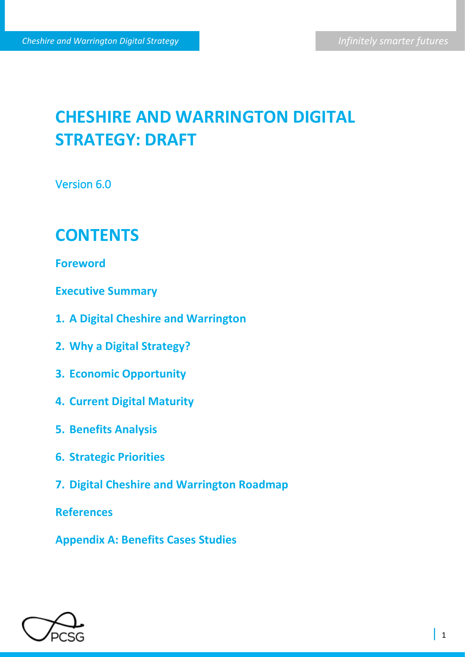# **CHESHIRE AND WARRINGTON DIGITAL STRATEGY: DRAFT**

Version 6.0

## **CONTENTS**

**Foreword**

**Executive Summary**

- **1. A Digital Cheshire and Warrington**
- **2. Why a Digital Strategy?**
- **3. Economic Opportunity**
- **4. Current Digital Maturity**
- **5. Benefits Analysis**
- **6. Strategic Priorities**
- **7. Digital Cheshire and Warrington Roadmap**

**References** 

**Appendix A: Benefits Cases Studies** 

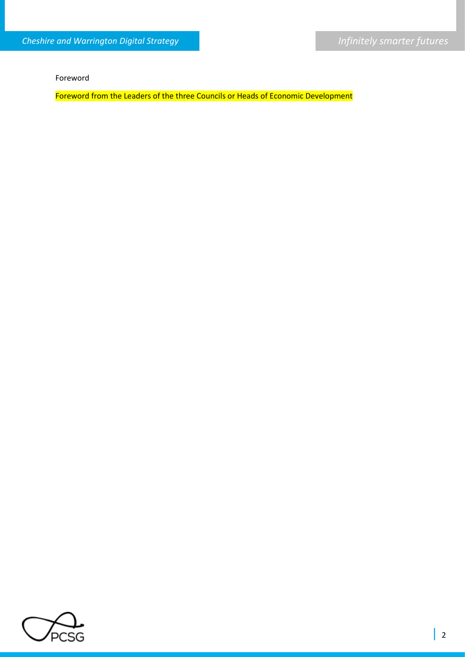Foreword

Foreword from the Leaders of the three Councils or Heads of Economic Development

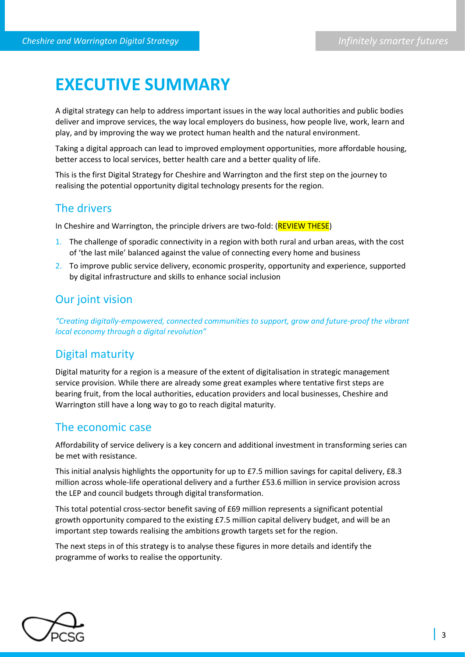## **EXECUTIVE SUMMARY**

A digital strategy can help to address important issues in the way local authorities and public bodies deliver and improve services, the way local employers do business, how people live, work, learn and play, and by improving the way we protect human health and the natural environment.

Taking a digital approach can lead to improved employment opportunities, more affordable housing, better access to local services, better health care and a better quality of life.

This is the first Digital Strategy for Cheshire and Warrington and the first step on the journey to realising the potential opportunity digital technology presents for the region.

## The drivers

In Cheshire and Warrington, the principle drivers are two-fold: (REVIEW THESE)

- 1. The challenge of sporadic connectivity in a region with both rural and urban areas, with the cost of 'the last mile' balanced against the value of connecting every home and business
- 2. To improve public service delivery, economic prosperity, opportunity and experience, supported by digital infrastructure and skills to enhance social inclusion

## Our joint vision

*"Creating digitally-empowered, connected communities to support, grow and future-proof the vibrant local economy through a digital revolution"* 

## Digital maturity

Digital maturity for a region is a measure of the extent of digitalisation in strategic management service provision. While there are already some great examples where tentative first steps are bearing fruit, from the local authorities, education providers and local businesses, Cheshire and Warrington still have a long way to go to reach digital maturity.

## The economic case

Affordability of service delivery is a key concern and additional investment in transforming series can be met with resistance.

This initial analysis highlights the opportunity for up to £7.5 million savings for capital delivery, £8.3 million across whole-life operational delivery and a further £53.6 million in service provision across the LEP and council budgets through digital transformation.

This total potential cross-sector benefit saving of £69 million represents a significant potential growth opportunity compared to the existing £7.5 million capital delivery budget, and will be an important step towards realising the ambitions growth targets set for the region.

The next steps in of this strategy is to analyse these figures in more details and identify the programme of works to realise the opportunity.

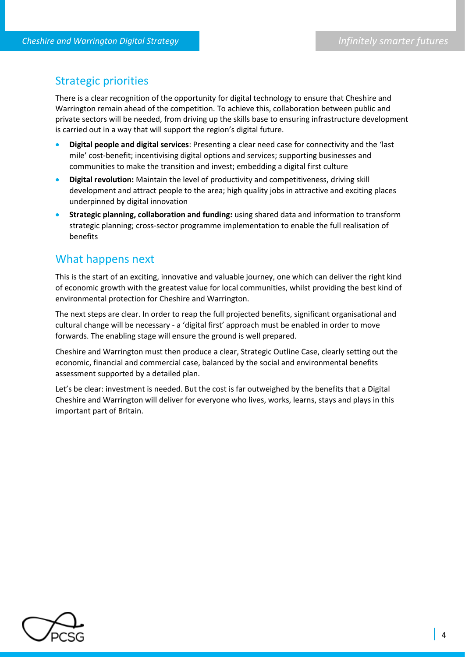## Strategic priorities

There is a clear recognition of the opportunity for digital technology to ensure that Cheshire and Warrington remain ahead of the competition. To achieve this, collaboration between public and private sectors will be needed, from driving up the skills base to ensuring infrastructure development is carried out in a way that will support the region's digital future.

- **Digital people and digital services**: Presenting a clear need case for connectivity and the 'last mile' cost-benefit; incentivising digital options and services; supporting businesses and communities to make the transition and invest; embedding a digital first culture
- **Digital revolution:** Maintain the level of productivity and competitiveness, driving skill development and attract people to the area; high quality jobs in attractive and exciting places underpinned by digital innovation
- **Strategic planning, collaboration and funding:** using shared data and information to transform strategic planning; cross-sector programme implementation to enable the full realisation of benefits

## What happens next

This is the start of an exciting, innovative and valuable journey, one which can deliver the right kind of economic growth with the greatest value for local communities, whilst providing the best kind of environmental protection for Cheshire and Warrington.

The next steps are clear. In order to reap the full projected benefits, significant organisational and cultural change will be necessary - a 'digital first' approach must be enabled in order to move forwards. The enabling stage will ensure the ground is well prepared.

Cheshire and Warrington must then produce a clear, Strategic Outline Case, clearly setting out the economic, financial and commercial case, balanced by the social and environmental benefits assessment supported by a detailed plan.

Let's be clear: investment is needed. But the cost is far outweighed by the benefits that a Digital Cheshire and Warrington will deliver for everyone who lives, works, learns, stays and plays in this important part of Britain.

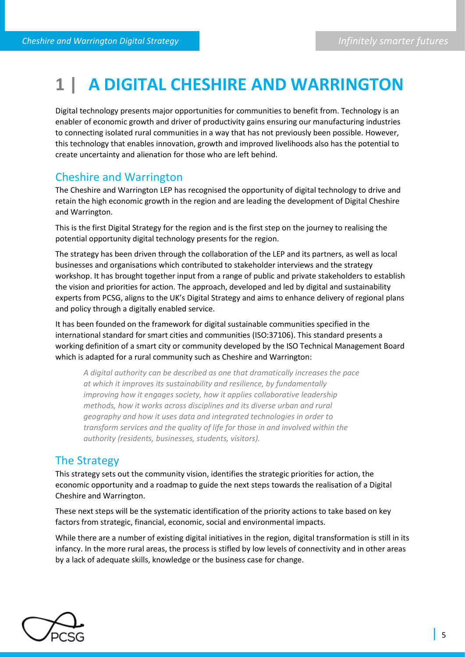## **1 | A DIGITAL CHESHIRE AND WARRINGTON**

Digital technology presents major opportunities for communities to benefit from. Technology is an enabler of economic growth and driver of productivity gains ensuring our manufacturing industries to connecting isolated rural communities in a way that has not previously been possible. However, this technology that enables innovation, growth and improved livelihoods also has the potential to create uncertainty and alienation for those who are left behind.

## Cheshire and Warrington

The Cheshire and Warrington LEP has recognised the opportunity of digital technology to drive and retain the high economic growth in the region and are leading the development of Digital Cheshire and Warrington.

This is the first Digital Strategy for the region and is the first step on the journey to realising the potential opportunity digital technology presents for the region.

The strategy has been driven through the collaboration of the LEP and its partners, as well as local businesses and organisations which contributed to stakeholder interviews and the strategy workshop. It has brought together input from a range of public and private stakeholders to establish the vision and priorities for action. The approach, developed and led by digital and sustainability experts from PCSG, aligns to the UK's Digital Strategy and aims to enhance delivery of regional plans and policy through a digitally enabled service.

It has been founded on the framework for digital sustainable communities specified in the international standard for smart cities and communities (ISO:37106). This standard presents a working definition of a smart city or community developed by the ISO Technical Management Board which is adapted for a rural community such as Cheshire and Warrington:

*A digital authority can be described as one that dramatically increases the pace at which it improves its sustainability and resilience, by fundamentally improving how it engages society, how it applies collaborative leadership methods, how it works across disciplines and its diverse urban and rural geography and how it uses data and integrated technologies in order to transform services and the quality of life for those in and involved within the authority (residents, businesses, students, visitors).* 

## The Strategy

This strategy sets out the community vision, identifies the strategic priorities for action, the economic opportunity and a roadmap to guide the next steps towards the realisation of a Digital Cheshire and Warrington.

These next steps will be the systematic identification of the priority actions to take based on key factors from strategic, financial, economic, social and environmental impacts.

While there are a number of existing digital initiatives in the region, digital transformation is still in its infancy. In the more rural areas, the process is stifled by low levels of connectivity and in other areas by a lack of adequate skills, knowledge or the business case for change.

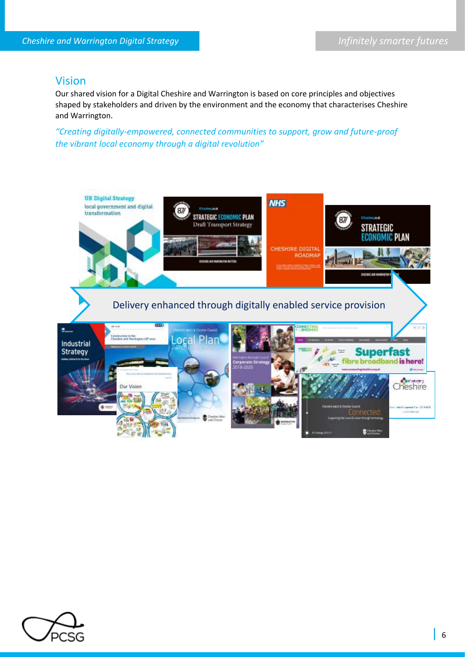#### Vision

Our shared vision for a Digital Cheshire and Warrington is based on core principles and objectives shaped by stakeholders and driven by the environment and the economy that characterises Cheshire and Warrington.

*"Creating digitally-empowered, connected communities to support, grow and future-proof the vibrant local economy through a digital revolution"* 



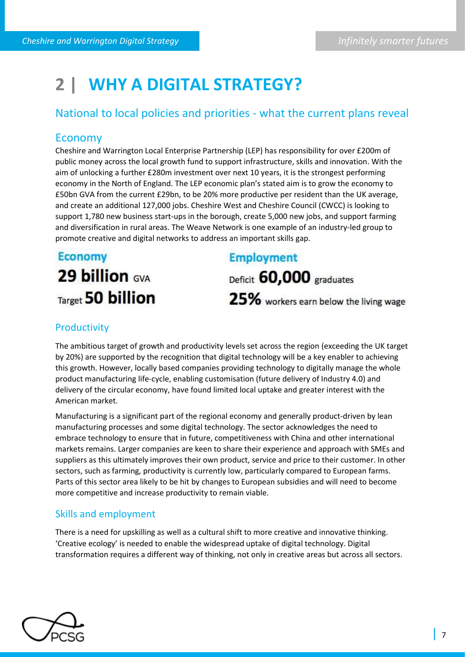## **2 | WHY A DIGITAL STRATEGY?**

## National to local policies and priorities - what the current plans reveal

#### Economy

Cheshire and Warrington Local Enterprise Partnership (LEP) has responsibility for over £200m of public money across the local growth fund to support infrastructure, skills and innovation. With the aim of unlocking a further £280m investment over next 10 years, it is the strongest performing economy in the North of England. The LEP economic plan's stated aim is to grow the economy to £50bn GVA from the current £29bn, to be 20% more productive per resident than the UK average, and create an additional 127,000 jobs. Cheshire West and Cheshire Council (CWCC) is looking to support 1,780 new business start-ups in the borough, create 5,000 new jobs, and support farming and diversification in rural areas. The Weave Network is one example of an industry-led group to promote creative and digital networks to address an important skills gap.

## **Economy** 29 billion GVA Target 50 billion

## **Employment**

Deficit 60,000 graduates 25% workers earn below the living wage

## **Productivity**

The ambitious target of growth and productivity levels set across the region (exceeding the UK target by 20%) are supported by the recognition that digital technology will be a key enabler to achieving this growth. However, locally based companies providing technology to digitally manage the whole product manufacturing life-cycle, enabling customisation (future delivery of Industry 4.0) and delivery of the circular economy, have found limited local uptake and greater interest with the American market.

Manufacturing is a significant part of the regional economy and generally product-driven by lean manufacturing processes and some digital technology. The sector acknowledges the need to embrace technology to ensure that in future, competitiveness with China and other international markets remains. Larger companies are keen to share their experience and approach with SMEs and suppliers as this ultimately improves their own product, service and price to their customer. In other sectors, such as farming, productivity is currently low, particularly compared to European farms. Parts of this sector area likely to be hit by changes to European subsidies and will need to become more competitive and increase productivity to remain viable.

#### Skills and employment

There is a need for upskilling as well as a cultural shift to more creative and innovative thinking. 'Creative ecology' is needed to enable the widespread uptake of digital technology. Digital transformation requires a different way of thinking, not only in creative areas but across all sectors.

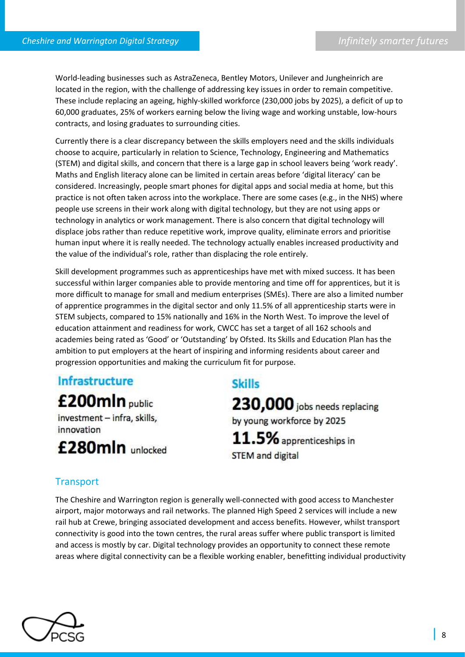World-leading businesses such as AstraZeneca, Bentley Motors, Unilever and Jungheinrich are located in the region, with the challenge of addressing key issues in order to remain competitive. These include replacing an ageing, highly-skilled workforce (230,000 jobs by 2025), a deficit of up to 60,000 graduates, 25% of workers earning below the living wage and working unstable, low-hours contracts, and losing graduates to surrounding cities.

Currently there is a clear discrepancy between the skills employers need and the skills individuals choose to acquire, particularly in relation to Science, Technology, Engineering and Mathematics (STEM) and digital skills, and concern that there is a large gap in school leavers being 'work ready'. Maths and English literacy alone can be limited in certain areas before 'digital literacy' can be considered. Increasingly, people smart phones for digital apps and social media at home, but this practice is not often taken across into the workplace. There are some cases (e.g., in the NHS) where people use screens in their work along with digital technology, but they are not using apps or technology in analytics or work management. There is also concern that digital technology will displace jobs rather than reduce repetitive work, improve quality, eliminate errors and prioritise human input where it is really needed. The technology actually enables increased productivity and the value of the individual's role, rather than displacing the role entirely.

Skill development programmes such as apprenticeships have met with mixed success. It has been successful within larger companies able to provide mentoring and time off for apprentices, but it is more difficult to manage for small and medium enterprises (SMEs). There are also a limited number of apprentice programmes in the digital sector and only 11.5% of all apprenticeship starts were in STEM subjects, compared to 15% nationally and 16% in the North West. To improve the level of education attainment and readiness for work, CWCC has set a target of all 162 schools and academies being rated as 'Good' or 'Outstanding' by Ofsted. Its Skills and Education Plan has the ambition to put employers at the heart of inspiring and informing residents about career and progression opportunities and making the curriculum fit for purpose.

Infrastructure £200mln public investment - infra, skills, innovation £280mln unlocked

## **Skills**

230,000 jobs needs replacing by young workforce by 2025 11.5% apprenticeships in **STEM and digital** 

### **Transport**

The Cheshire and Warrington region is generally well-connected with good access to Manchester airport, major motorways and rail networks. The planned High Speed 2 services will include a new rail hub at Crewe, bringing associated development and access benefits. However, whilst transport connectivity is good into the town centres, the rural areas suffer where public transport is limited and access is mostly by car. Digital technology provides an opportunity to connect these remote areas where digital connectivity can be a flexible working enabler, benefitting individual productivity

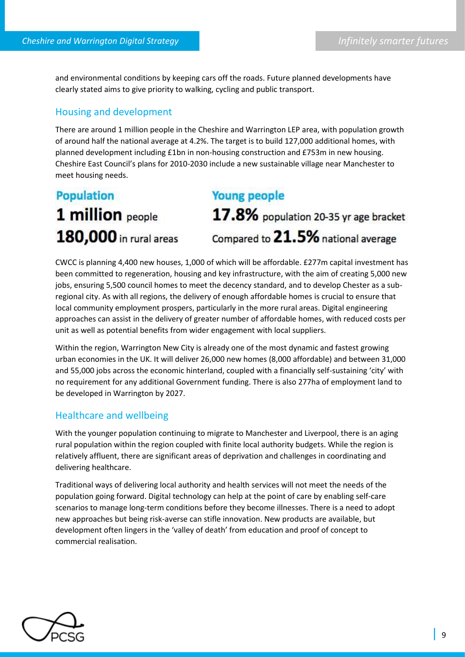and environmental conditions by keeping cars off the roads. Future planned developments have clearly stated aims to give priority to walking, cycling and public transport.

#### Housing and development

There are around 1 million people in the Cheshire and Warrington LEP area, with population growth of around half the national average at 4.2%. The target is to build 127,000 additional homes, with planned development including £1bn in non-housing construction and £753m in new housing. Cheshire East Council's plans for 2010-2030 include a new sustainable village near Manchester to meet housing needs.

## **Population** 1 million people 180,000 in rural areas

## **Young people**

17.8% population 20-35 yr age bracket Compared to 21.5% national average

CWCC is planning 4,400 new houses, 1,000 of which will be affordable. £277m capital investment has been committed to regeneration, housing and key infrastructure, with the aim of creating 5,000 new jobs, ensuring 5,500 council homes to meet the decency standard, and to develop Chester as a subregional city. As with all regions, the delivery of enough affordable homes is crucial to ensure that local community employment prospers, particularly in the more rural areas. Digital engineering approaches can assist in the delivery of greater number of affordable homes, with reduced costs per unit as well as potential benefits from wider engagement with local suppliers.

Within the region, Warrington New City is already one of the most dynamic and fastest growing urban economies in the UK. It will deliver 26,000 new homes (8,000 affordable) and between 31,000 and 55,000 jobs across the economic hinterland, coupled with a financially self-sustaining 'city' with no requirement for any additional Government funding. There is also 277ha of employment land to be developed in Warrington by 2027.

#### Healthcare and wellbeing

With the younger population continuing to migrate to Manchester and Liverpool, there is an aging rural population within the region coupled with finite local authority budgets. While the region is relatively affluent, there are significant areas of deprivation and challenges in coordinating and delivering healthcare.

Traditional ways of delivering local authority and health services will not meet the needs of the population going forward. Digital technology can help at the point of care by enabling self-care scenarios to manage long-term conditions before they become illnesses. There is a need to adopt new approaches but being risk-averse can stifle innovation. New products are available, but development often lingers in the 'valley of death' from education and proof of concept to commercial realisation.

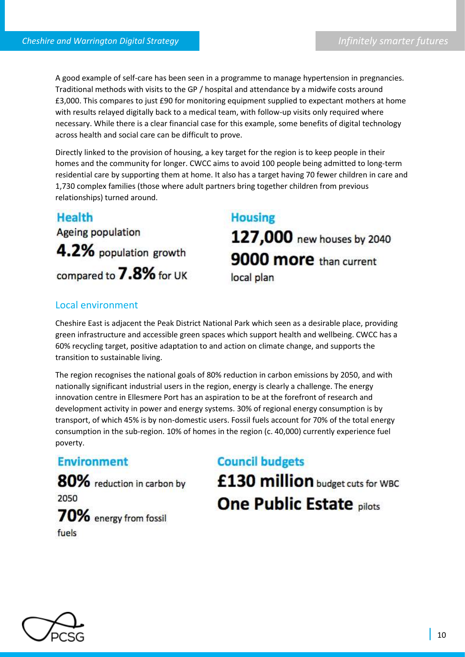A good example of self-care has been seen in a programme to manage hypertension in pregnancies. Traditional methods with visits to the GP / hospital and attendance by a midwife costs around £3,000. This compares to just £90 for monitoring equipment supplied to expectant mothers at home with results relayed digitally back to a medical team, with follow-up visits only required where necessary. While there is a clear financial case for this example, some benefits of digital technology across health and social care can be difficult to prove.

Directly linked to the provision of housing, a key target for the region is to keep people in their homes and the community for longer. CWCC aims to avoid 100 people being admitted to long-term residential care by supporting them at home. It also has a target having 70 fewer children in care and 1,730 complex families (those where adult partners bring together children from previous relationships) turned around.

## Health **Ageing population** 4.2% population growth compared to 7.8% for UK

# **Housing**

127,000 new houses by 2040 9000 more than current local plan

### Local environment

Cheshire East is adjacent the Peak District National Park which seen as a desirable place, providing green infrastructure and accessible green spaces which support health and wellbeing. CWCC has a 60% recycling target, positive adaptation to and action on climate change, and supports the transition to sustainable living.

The region recognises the national goals of 80% reduction in carbon emissions by 2050, and with nationally significant industrial users in the region, energy is clearly a challenge. The energy innovation centre in Ellesmere Port has an aspiration to be at the forefront of research and development activity in power and energy systems. 30% of regional energy consumption is by transport, of which 45% is by non-domestic users. Fossil fuels account for 70% of the total energy consumption in the sub-region. 10% of homes in the region (c. 40,000) currently experience fuel poverty.

## **Environment**

80% reduction in carbon by 2050 70% energy from fossil fuels

# **Council budgets** £130 million budget cuts for WBC **One Public Estate pilots**

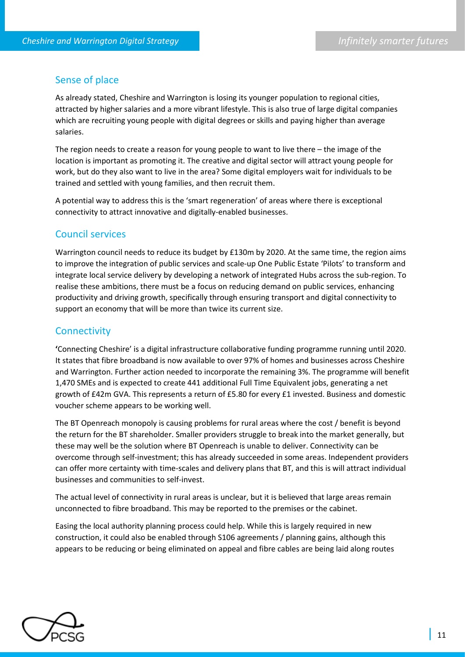#### Sense of place

As already stated, Cheshire and Warrington is losing its younger population to regional cities, attracted by higher salaries and a more vibrant lifestyle. This is also true of large digital companies which are recruiting young people with digital degrees or skills and paying higher than average salaries.

The region needs to create a reason for young people to want to live there – the image of the location is important as promoting it. The creative and digital sector will attract young people for work, but do they also want to live in the area? Some digital employers wait for individuals to be trained and settled with young families, and then recruit them.

A potential way to address this is the 'smart regeneration' of areas where there is exceptional connectivity to attract innovative and digitally-enabled businesses.

#### Council services

Warrington council needs to reduce its budget by £130m by 2020. At the same time, the region aims to improve the integration of public services and scale-up One Public Estate 'Pilots' to transform and integrate local service delivery by developing a network of integrated Hubs across the sub-region. To realise these ambitions, there must be a focus on reducing demand on public services, enhancing productivity and driving growth, specifically through ensuring transport and digital connectivity to support an economy that will be more than twice its current size.

#### **Connectivity**

**'**Connecting Cheshire' is a digital infrastructure collaborative funding programme running until 2020. It states that fibre broadband is now available to over 97% of homes and businesses across Cheshire and Warrington. Further action needed to incorporate the remaining 3%. The programme will benefit 1,470 SMEs and is expected to create 441 additional Full Time Equivalent jobs, generating a net growth of £42m GVA. This represents a return of £5.80 for every £1 invested. Business and domestic voucher scheme appears to be working well.

The BT Openreach monopoly is causing problems for rural areas where the cost / benefit is beyond the return for the BT shareholder. Smaller providers struggle to break into the market generally, but these may well be the solution where BT Openreach is unable to deliver. Connectivity can be overcome through self-investment; this has already succeeded in some areas. Independent providers can offer more certainty with time-scales and delivery plans that BT, and this is will attract individual businesses and communities to self-invest.

The actual level of connectivity in rural areas is unclear, but it is believed that large areas remain unconnected to fibre broadband. This may be reported to the premises or the cabinet.

Easing the local authority planning process could help. While this is largely required in new construction, it could also be enabled through S106 agreements / planning gains, although this appears to be reducing or being eliminated on appeal and fibre cables are being laid along routes

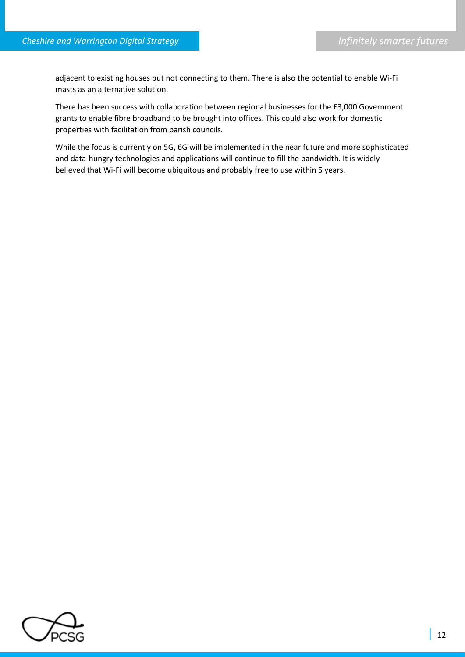adjacent to existing houses but not connecting to them. There is also the potential to enable Wi-Fi masts as an alternative solution.

There has been success with collaboration between regional businesses for the £3,000 Government grants to enable fibre broadband to be brought into offices. This could also work for domestic properties with facilitation from parish councils.

While the focus is currently on 5G, 6G will be implemented in the near future and more sophisticated and data-hungry technologies and applications will continue to fill the bandwidth. It is widely believed that Wi-Fi will become ubiquitous and probably free to use within 5 years.

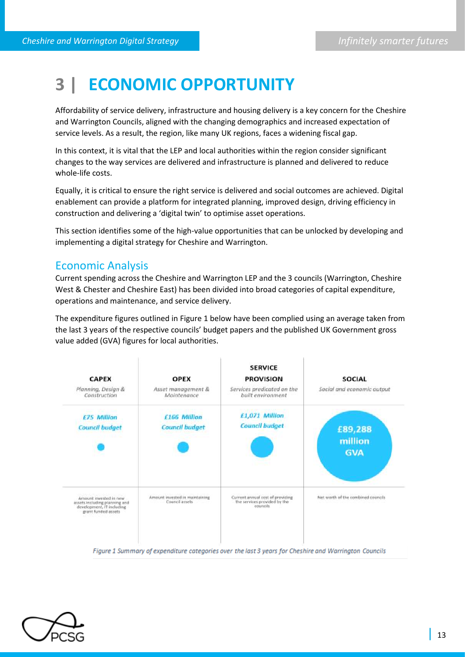## **3 | ECONOMIC OPPORTUNITY**

Affordability of service delivery, infrastructure and housing delivery is a key concern for the Cheshire and Warrington Councils, aligned with the changing demographics and increased expectation of service levels. As a result, the region, like many UK regions, faces a widening fiscal gap.

In this context, it is vital that the LEP and local authorities within the region consider significant changes to the way services are delivered and infrastructure is planned and delivered to reduce whole-life costs.

Equally, it is critical to ensure the right service is delivered and social outcomes are achieved. Digital enablement can provide a platform for integrated planning, improved design, driving efficiency in construction and delivering a 'digital twin' to optimise asset operations.

This section identifies some of the high-value opportunities that can be unlocked by developing and implementing a digital strategy for Cheshire and Warrington.

### Economic Analysis

Current spending across the Cheshire and Warrington LEP and the 3 councils (Warrington, Cheshire West & Chester and Cheshire East) has been divided into broad categories of capital expenditure, operations and maintenance, and service delivery.

The expenditure figures outlined in Figure 1 below have been complied using an average taken from the last 3 years of the respective councils' budget papers and the published UK Government gross value added (GVA) figures for local authorities.



Figure 1 Summary of expenditure categories over the last 3 years for Cheshire and Warrington Councils

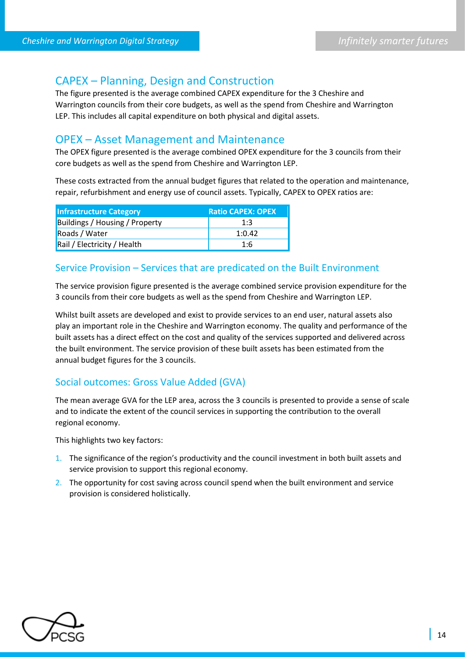## CAPEX – Planning, Design and Construction

The figure presented is the average combined CAPEX expenditure for the 3 Cheshire and Warrington councils from their core budgets, as well as the spend from Cheshire and Warrington LEP. This includes all capital expenditure on both physical and digital assets.

### OPEX – Asset Management and Maintenance

The OPEX figure presented is the average combined OPEX expenditure for the 3 councils from their core budgets as well as the spend from Cheshire and Warrington LEP.

These costs extracted from the annual budget figures that related to the operation and maintenance, repair, refurbishment and energy use of council assets. Typically, CAPEX to OPEX ratios are:

| <b>Infrastructure Category</b>        | <b>Ratio CAPEX: OPEX</b> |
|---------------------------------------|--------------------------|
| <b>Buildings / Housing / Property</b> | 1:3                      |
| Roads / Water                         | 1:0.42                   |
| Rail / Electricity / Health           | 1:6                      |

#### Service Provision – Services that are predicated on the Built Environment

The service provision figure presented is the average combined service provision expenditure for the 3 councils from their core budgets as well as the spend from Cheshire and Warrington LEP.

Whilst built assets are developed and exist to provide services to an end user, natural assets also play an important role in the Cheshire and Warrington economy. The quality and performance of the built assets has a direct effect on the cost and quality of the services supported and delivered across the built environment. The service provision of these built assets has been estimated from the annual budget figures for the 3 councils.

#### Social outcomes: Gross Value Added (GVA)

The mean average GVA for the LEP area, across the 3 councils is presented to provide a sense of scale and to indicate the extent of the council services in supporting the contribution to the overall regional economy.

This highlights two key factors:

- 1. The significance of the region's productivity and the council investment in both built assets and service provision to support this regional economy.
- 2. The opportunity for cost saving across council spend when the built environment and service provision is considered holistically.

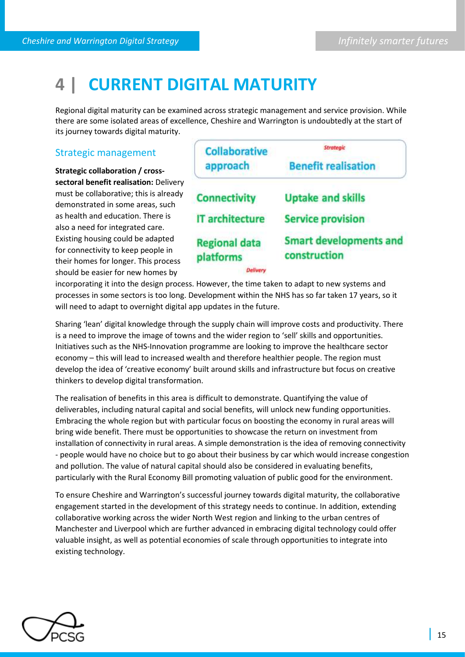## **4 | CURRENT DIGITAL MATURITY**

Regional digital maturity can be examined across strategic management and service provision. While there are some isolated areas of excellence, Cheshire and Warrington is undoubtedly at the start of its journey towards digital maturity.

#### Strategic management

**Strategic collaboration / crosssectoral benefit realisation:** Delivery must be collaborative; this is already demonstrated in some areas, such as health and education. There is also a need for integrated care. Existing housing could be adapted for connectivity to keep people in their homes for longer. This process should be easier for new homes by

| <b>Collaborative</b>              | <b>Strategic</b>                              |  |  |  |  |
|-----------------------------------|-----------------------------------------------|--|--|--|--|
| approach                          | <b>Benefit realisation</b>                    |  |  |  |  |
| <b>Connectivity</b>               | <b>Uptake and skills</b>                      |  |  |  |  |
| <b>IT architecture</b>            | <b>Service provision</b>                      |  |  |  |  |
| <b>Regional data</b><br>platforms | <b>Smart developments and</b><br>construction |  |  |  |  |

Delivery

incorporating it into the design process. However, the time taken to adapt to new systems and processes in some sectors is too long. Development within the NHS has so far taken 17 years, so it will need to adapt to overnight digital app updates in the future.

Sharing 'lean' digital knowledge through the supply chain will improve costs and productivity. There is a need to improve the image of towns and the wider region to 'sell' skills and opportunities. Initiatives such as the NHS-Innovation programme are looking to improve the healthcare sector economy – this will lead to increased wealth and therefore healthier people. The region must develop the idea of 'creative economy' built around skills and infrastructure but focus on creative thinkers to develop digital transformation.

The realisation of benefits in this area is difficult to demonstrate. Quantifying the value of deliverables, including natural capital and social benefits, will unlock new funding opportunities. Embracing the whole region but with particular focus on boosting the economy in rural areas will bring wide benefit. There must be opportunities to showcase the return on investment from installation of connectivity in rural areas. A simple demonstration is the idea of removing connectivity - people would have no choice but to go about their business by car which would increase congestion and pollution. The value of natural capital should also be considered in evaluating benefits, particularly with the Rural Economy Bill promoting valuation of public good for the environment.

To ensure Cheshire and Warrington's successful journey towards digital maturity, the collaborative engagement started in the development of this strategy needs to continue. In addition, extending collaborative working across the wider North West region and linking to the urban centres of Manchester and Liverpool which are further advanced in embracing digital technology could offer valuable insight, as well as potential economies of scale through opportunities to integrate into existing technology.

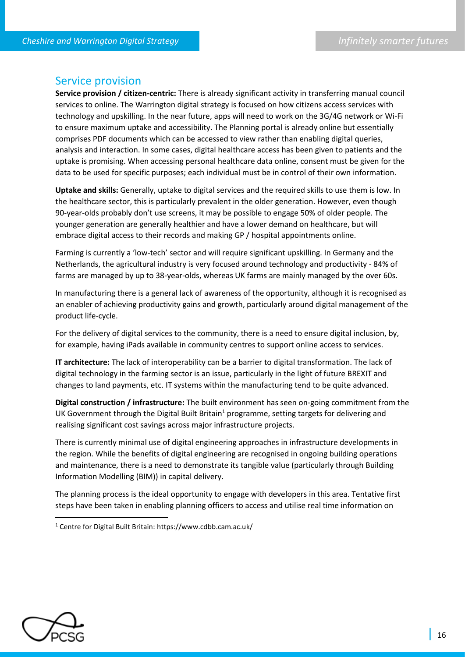#### Service provision

**Service provision / citizen-centric:** There is already significant activity in transferring manual council services to online. The Warrington digital strategy is focused on how citizens access services with technology and upskilling. In the near future, apps will need to work on the 3G/4G network or Wi-Fi to ensure maximum uptake and accessibility. The Planning portal is already online but essentially comprises PDF documents which can be accessed to view rather than enabling digital queries, analysis and interaction. In some cases, digital healthcare access has been given to patients and the uptake is promising. When accessing personal healthcare data online, consent must be given for the data to be used for specific purposes; each individual must be in control of their own information.

**Uptake and skills:** Generally, uptake to digital services and the required skills to use them is low. In the healthcare sector, this is particularly prevalent in the older generation. However, even though 90-year-olds probably don't use screens, it may be possible to engage 50% of older people. The younger generation are generally healthier and have a lower demand on healthcare, but will embrace digital access to their records and making GP / hospital appointments online.

Farming is currently a 'low-tech' sector and will require significant upskilling. In Germany and the Netherlands, the agricultural industry is very focused around technology and productivity - 84% of farms are managed by up to 38-year-olds, whereas UK farms are mainly managed by the over 60s.

In manufacturing there is a general lack of awareness of the opportunity, although it is recognised as an enabler of achieving productivity gains and growth, particularly around digital management of the product life-cycle.

For the delivery of digital services to the community, there is a need to ensure digital inclusion, by, for example, having iPads available in community centres to support online access to services.

**IT architecture:** The lack of interoperability can be a barrier to digital transformation. The lack of digital technology in the farming sector is an issue, particularly in the light of future BREXIT and changes to land payments, etc. IT systems within the manufacturing tend to be quite advanced.

**Digital construction / infrastructure:** The built environment has seen on-going commitment from the UK Government through the Digital Built Britain<sup>1</sup> programme, setting targets for delivering and realising significant cost savings across major infrastructure projects.

There is currently minimal use of digital engineering approaches in infrastructure developments in the region. While the benefits of digital engineering are recognised in ongoing building operations and maintenance, there is a need to demonstrate its tangible value (particularly through Building Information Modelling (BIM)) in capital delivery.

The planning process is the ideal opportunity to engage with developers in this area. Tentative first steps have been taken in enabling planning officers to access and utilise real time information on



 $\overline{a}$ 

<sup>1</sup> Centre for Digital Built Britain: https://www.cdbb.cam.ac.uk/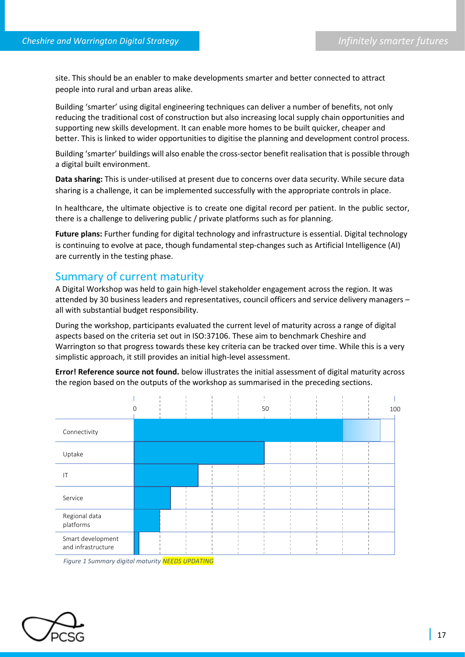site. This should be an enabler to make developments smarter and better connected to attract people into rural and urban areas alike.

Building 'smarter' using digital engineering techniques can deliver a number of benefits, not only reducing the traditional cost of construction but also increasing local supply chain opportunities and supporting new skills development. It can enable more homes to be built quicker, cheaper and better. This is linked to wider opportunities to digitise the planning and development control process.

Building 'smarter' buildings will also enable the cross-sector benefit realisation that is possible through a digital built environment.

**Data sharing:** This is under-utilised at present due to concerns over data security. While secure data sharing is a challenge, it can be implemented successfully with the appropriate controls in place.

In healthcare, the ultimate objective is to create one digital record per patient. In the public sector, there is a challenge to delivering public / private platforms such as for planning.

**Future plans:** Further funding for digital technology and infrastructure is essential. Digital technology is continuing to evolve at pace, though fundamental step-changes such as Artificial Intelligence (AI) are currently in the testing phase.

#### Summary of current maturity

A Digital Workshop was held to gain high-level stakeholder engagement across the region. It was attended by 30 business leaders and representatives, council officers and service delivery managers – all with substantial budget responsibility.

During the workshop, participants evaluated the current level of maturity across a range of digital aspects based on the criteria set out in ISO:37106. These aim to benchmark Cheshire and Warrington so that progress towards these key criteria can be tracked over time. While this is a very simplistic approach, it still provides an initial high-level assessment.

**Error! Reference source not found.** below illustrates the initial assessment of digital maturity across the region based on the outputs of the workshop as summarised in the preceding sections.



 *Figure 1 Summary digital maturity NEEDS UPDATING*

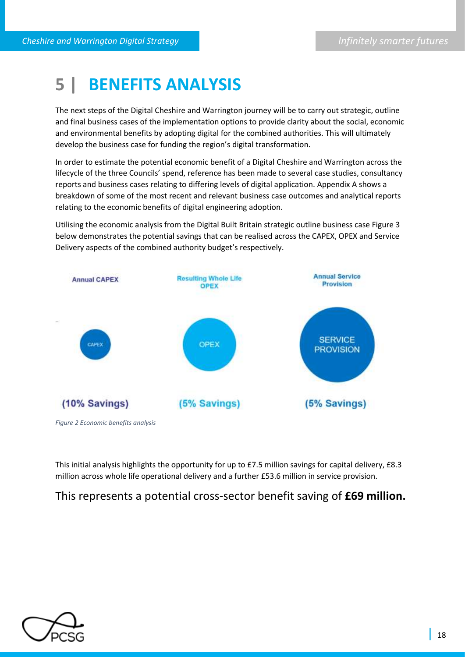## **5 | BENEFITS ANALYSIS**

The next steps of the Digital Cheshire and Warrington journey will be to carry out strategic, outline and final business cases of the implementation options to provide clarity about the social, economic and environmental benefits by adopting digital for the combined authorities. This will ultimately develop the business case for funding the region's digital transformation.

In order to estimate the potential economic benefit of a Digital Cheshire and Warrington across the lifecycle of the three Councils' spend, reference has been made to several case studies, consultancy reports and business cases relating to differing levels of digital application. Appendix A shows a breakdown of some of the most recent and relevant business case outcomes and analytical reports relating to the economic benefits of digital engineering adoption.

Utilising the economic analysis from the Digital Built Britain strategic outline business case Figure 3 below demonstrates the potential savings that can be realised across the CAPEX, OPEX and Service Delivery aspects of the combined authority budget's respectively.



*Figure 2 Economic benefits analysis* 

This initial analysis highlights the opportunity for up to £7.5 million savings for capital delivery, £8.3 million across whole life operational delivery and a further £53.6 million in service provision.

## This represents a potential cross-sector benefit saving of **£69 million.**

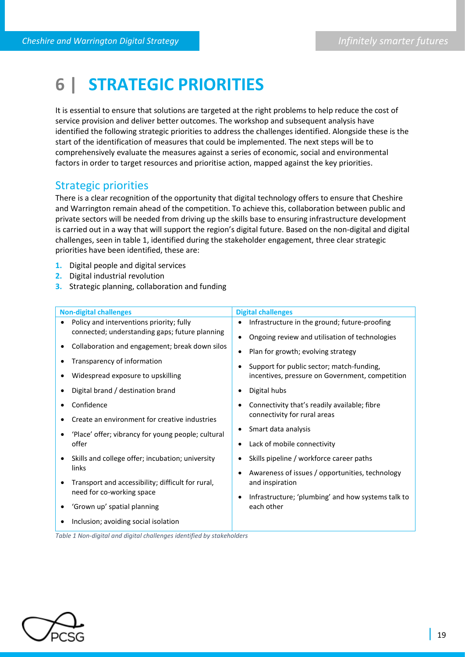## **6 | STRATEGIC PRIORITIES**

It is essential to ensure that solutions are targeted at the right problems to help reduce the cost of service provision and deliver better outcomes. The workshop and subsequent analysis have identified the following strategic priorities to address the challenges identified. Alongside these is the start of the identification of measures that could be implemented. The next steps will be to comprehensively evaluate the measures against a series of economic, social and environmental factors in order to target resources and prioritise action, mapped against the key priorities.

### Strategic priorities

There is a clear recognition of the opportunity that digital technology offers to ensure that Cheshire and Warrington remain ahead of the competition. To achieve this, collaboration between public and private sectors will be needed from driving up the skills base to ensuring infrastructure development is carried out in a way that will support the region's digital future. Based on the non-digital and digital challenges, seen in table 1, identified during the stakeholder engagement, three clear strategic priorities have been identified, these are:

- **1.** Digital people and digital services
- **2.** Digital industrial revolution
- **3.** Strategic planning, collaboration and funding

| <b>Non-digital challenges</b>                                         | <b>Digital challenges</b>                                       |  |  |  |  |
|-----------------------------------------------------------------------|-----------------------------------------------------------------|--|--|--|--|
| Policy and interventions priority; fully                              | Infrastructure in the ground; future-proofing<br>$\bullet$      |  |  |  |  |
| connected; understanding gaps; future planning                        | Ongoing review and utilisation of technologies<br>$\bullet$     |  |  |  |  |
| Collaboration and engagement; break down silos<br>٠                   | Plan for growth; evolving strategy<br>$\bullet$                 |  |  |  |  |
| Transparency of information<br>$\epsilon$                             | Support for public sector; match-funding,<br>$\bullet$          |  |  |  |  |
| Widespread exposure to upskilling                                     | incentives, pressure on Government, competition                 |  |  |  |  |
| Digital brand / destination brand<br>$\bullet$                        | Digital hubs<br>$\bullet$                                       |  |  |  |  |
| Confidence                                                            | Connectivity that's readily available; fibre<br>$\bullet$       |  |  |  |  |
| Create an environment for creative industries                         | connectivity for rural areas                                    |  |  |  |  |
| 'Place' offer; vibrancy for young people; cultural<br>$\bullet$       | Smart data analysis<br>$\bullet$                                |  |  |  |  |
| offer                                                                 | Lack of mobile connectivity<br>$\bullet$                        |  |  |  |  |
| Skills and college offer; incubation; university<br>$\bullet$         | Skills pipeline / workforce career paths<br>٠                   |  |  |  |  |
| links                                                                 | Awareness of issues / opportunities, technology<br>$\bullet$    |  |  |  |  |
| Transport and accessibility; difficult for rural,<br>$\bullet$        | and inspiration                                                 |  |  |  |  |
| need for co-working space                                             | Infrastructure; 'plumbing' and how systems talk to<br>$\bullet$ |  |  |  |  |
| 'Grown up' spatial planning<br>٠                                      | each other                                                      |  |  |  |  |
| Inclusion; avoiding social isolation                                  |                                                                 |  |  |  |  |
| Table 1 Non-digital and digital challenges identified by stakeholders |                                                                 |  |  |  |  |

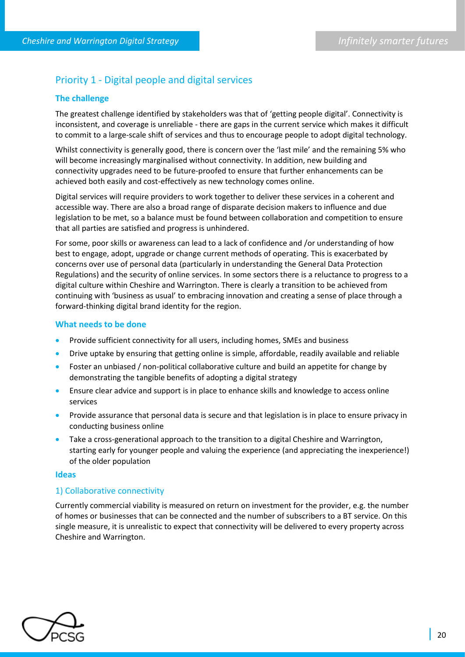### Priority 1 - Digital people and digital services

#### **The challenge**

The greatest challenge identified by stakeholders was that of 'getting people digital'. Connectivity is inconsistent, and coverage is unreliable - there are gaps in the current service which makes it difficult to commit to a large-scale shift of services and thus to encourage people to adopt digital technology.

Whilst connectivity is generally good, there is concern over the 'last mile' and the remaining 5% who will become increasingly marginalised without connectivity. In addition, new building and connectivity upgrades need to be future-proofed to ensure that further enhancements can be achieved both easily and cost-effectively as new technology comes online.

Digital services will require providers to work together to deliver these services in a coherent and accessible way. There are also a broad range of disparate decision makers to influence and due legislation to be met, so a balance must be found between collaboration and competition to ensure that all parties are satisfied and progress is unhindered.

For some, poor skills or awareness can lead to a lack of confidence and /or understanding of how best to engage, adopt, upgrade or change current methods of operating. This is exacerbated by concerns over use of personal data (particularly in understanding the General Data Protection Regulations) and the security of online services. In some sectors there is a reluctance to progress to a digital culture within Cheshire and Warrington. There is clearly a transition to be achieved from continuing with 'business as usual' to embracing innovation and creating a sense of place through a forward-thinking digital brand identity for the region.

#### **What needs to be done**

- Provide sufficient connectivity for all users, including homes, SMEs and business
- Drive uptake by ensuring that getting online is simple, affordable, readily available and reliable
- Foster an unbiased / non-political collaborative culture and build an appetite for change by demonstrating the tangible benefits of adopting a digital strategy
- Ensure clear advice and support is in place to enhance skills and knowledge to access online services
- Provide assurance that personal data is secure and that legislation is in place to ensure privacy in conducting business online
- Take a cross-generational approach to the transition to a digital Cheshire and Warrington, starting early for younger people and valuing the experience (and appreciating the inexperience!) of the older population

#### **Ideas**

#### 1) Collaborative connectivity

Currently commercial viability is measured on return on investment for the provider, e.g. the number of homes or businesses that can be connected and the number of subscribers to a BT service. On this single measure, it is unrealistic to expect that connectivity will be delivered to every property across Cheshire and Warrington.

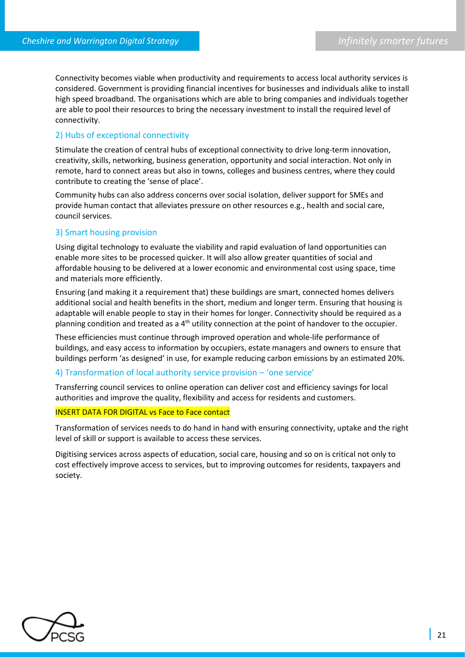Connectivity becomes viable when productivity and requirements to access local authority services is considered. Government is providing financial incentives for businesses and individuals alike to install high speed broadband. The organisations which are able to bring companies and individuals together are able to pool their resources to bring the necessary investment to install the required level of connectivity.

#### 2) Hubs of exceptional connectivity

Stimulate the creation of central hubs of exceptional connectivity to drive long-term innovation, creativity, skills, networking, business generation, opportunity and social interaction. Not only in remote, hard to connect areas but also in towns, colleges and business centres, where they could contribute to creating the 'sense of place'.

Community hubs can also address concerns over social isolation, deliver support for SMEs and provide human contact that alleviates pressure on other resources e.g., health and social care, council services.

#### 3) Smart housing provision

Using digital technology to evaluate the viability and rapid evaluation of land opportunities can enable more sites to be processed quicker. It will also allow greater quantities of social and affordable housing to be delivered at a lower economic and environmental cost using space, time and materials more efficiently.

Ensuring (and making it a requirement that) these buildings are smart, connected homes delivers additional social and health benefits in the short, medium and longer term. Ensuring that housing is adaptable will enable people to stay in their homes for longer. Connectivity should be required as a planning condition and treated as a  $4<sup>th</sup>$  utility connection at the point of handover to the occupier.

These efficiencies must continue through improved operation and whole-life performance of buildings, and easy access to information by occupiers, estate managers and owners to ensure that buildings perform 'as designed' in use, for example reducing carbon emissions by an estimated 20%.

#### 4) Transformation of local authority service provision – 'one service'

Transferring council services to online operation can deliver cost and efficiency savings for local authorities and improve the quality, flexibility and access for residents and customers.

#### INSERT DATA FOR DIGITAL vs Face to Face contact

Transformation of services needs to do hand in hand with ensuring connectivity, uptake and the right level of skill or support is available to access these services.

Digitising services across aspects of education, social care, housing and so on is critical not only to cost effectively improve access to services, but to improving outcomes for residents, taxpayers and society.

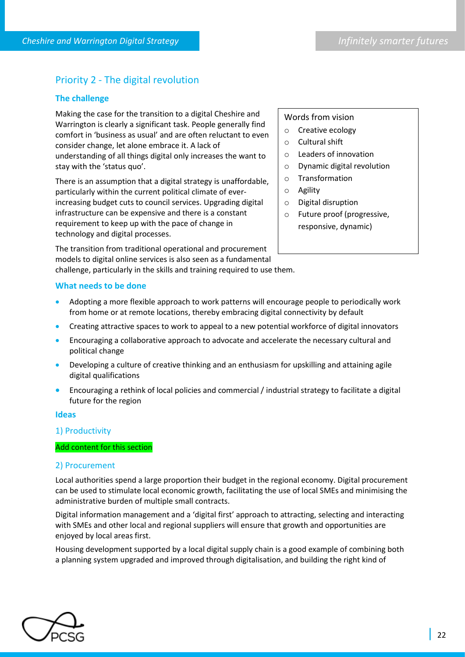### Priority 2 - The digital revolution

#### **The challenge**

Making the case for the transition to a digital Cheshire and Warrington is clearly a significant task. People generally find comfort in 'business as usual' and are often reluctant to even consider change, let alone embrace it. A lack of understanding of all things digital only increases the want to stay with the 'status quo'.

There is an assumption that a digital strategy is unaffordable, particularly within the current political climate of everincreasing budget cuts to council services. Upgrading digital infrastructure can be expensive and there is a constant requirement to keep up with the pace of change in technology and digital processes.

The transition from traditional operational and procurement models to digital online services is also seen as a fundamental challenge, particularly in the skills and training required to use them.

#### Words from vision

- o Creative ecology
- o Cultural shift
- o Leaders of innovation
- o Dynamic digital revolution
- o Transformation
- o Agility
- o Digital disruption
- o Future proof (progressive, responsive, dynamic)

#### **What needs to be done**

- Adopting a more flexible approach to work patterns will encourage people to periodically work from home or at remote locations, thereby embracing digital connectivity by default
- Creating attractive spaces to work to appeal to a new potential workforce of digital innovators
- Encouraging a collaborative approach to advocate and accelerate the necessary cultural and political change
- Developing a culture of creative thinking and an enthusiasm for upskilling and attaining agile digital qualifications
- Encouraging a rethink of local policies and commercial / industrial strategy to facilitate a digital future for the region

#### **Ideas**

#### 1) Productivity

#### Add content for this section

#### 2) Procurement

Local authorities spend a large proportion their budget in the regional economy. Digital procurement can be used to stimulate local economic growth, facilitating the use of local SMEs and minimising the administrative burden of multiple small contracts.

Digital information management and a 'digital first' approach to attracting, selecting and interacting with SMEs and other local and regional suppliers will ensure that growth and opportunities are enjoyed by local areas first.

Housing development supported by a local digital supply chain is a good example of combining both a planning system upgraded and improved through digitalisation, and building the right kind of

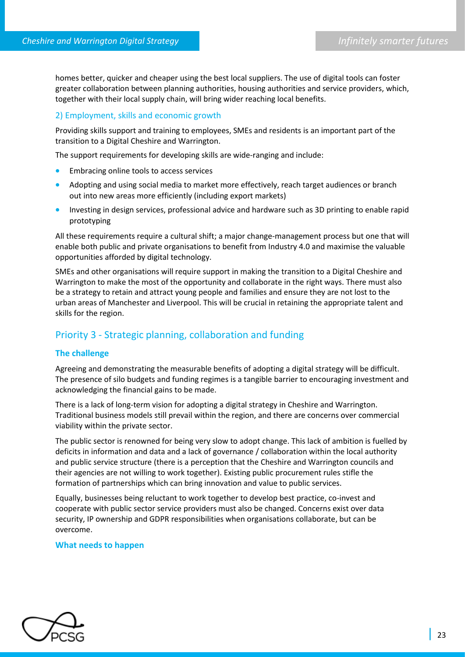homes better, quicker and cheaper using the best local suppliers. The use of digital tools can foster greater collaboration between planning authorities, housing authorities and service providers, which, together with their local supply chain, will bring wider reaching local benefits.

#### 2) Employment, skills and economic growth

Providing skills support and training to employees, SMEs and residents is an important part of the transition to a Digital Cheshire and Warrington.

The support requirements for developing skills are wide-ranging and include:

- Embracing online tools to access services
- Adopting and using social media to market more effectively, reach target audiences or branch out into new areas more efficiently (including export markets)
- Investing in design services, professional advice and hardware such as 3D printing to enable rapid prototyping

All these requirements require a cultural shift; a major change-management process but one that will enable both public and private organisations to benefit from Industry 4.0 and maximise the valuable opportunities afforded by digital technology.

SMEs and other organisations will require support in making the transition to a Digital Cheshire and Warrington to make the most of the opportunity and collaborate in the right ways. There must also be a strategy to retain and attract young people and families and ensure they are not lost to the urban areas of Manchester and Liverpool. This will be crucial in retaining the appropriate talent and skills for the region.

### Priority 3 - Strategic planning, collaboration and funding

#### **The challenge**

Agreeing and demonstrating the measurable benefits of adopting a digital strategy will be difficult. The presence of silo budgets and funding regimes is a tangible barrier to encouraging investment and acknowledging the financial gains to be made.

There is a lack of long-term vision for adopting a digital strategy in Cheshire and Warrington. Traditional business models still prevail within the region, and there are concerns over commercial viability within the private sector.

The public sector is renowned for being very slow to adopt change. This lack of ambition is fuelled by deficits in information and data and a lack of governance / collaboration within the local authority and public service structure (there is a perception that the Cheshire and Warrington councils and their agencies are not willing to work together). Existing public procurement rules stifle the formation of partnerships which can bring innovation and value to public services.

Equally, businesses being reluctant to work together to develop best practice, co-invest and cooperate with public sector service providers must also be changed. Concerns exist over data security, IP ownership and GDPR responsibilities when organisations collaborate, but can be overcome.

#### **What needs to happen**

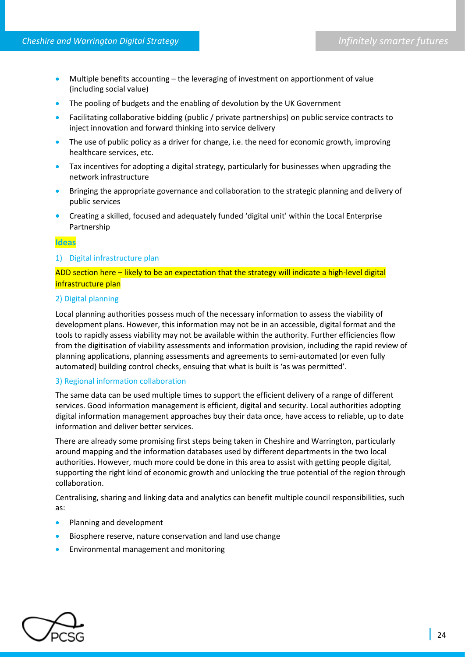- Multiple benefits accounting the leveraging of investment on apportionment of value (including social value)
- The pooling of budgets and the enabling of devolution by the UK Government
- Facilitating collaborative bidding (public / private partnerships) on public service contracts to inject innovation and forward thinking into service delivery
- The use of public policy as a driver for change, i.e. the need for economic growth, improving healthcare services, etc.
- Tax incentives for adopting a digital strategy, particularly for businesses when upgrading the network infrastructure
- Bringing the appropriate governance and collaboration to the strategic planning and delivery of public services
- Creating a skilled, focused and adequately funded 'digital unit' within the Local Enterprise Partnership

#### **Ideas**

#### 1) Digital infrastructure plan

#### ADD section here – likely to be an expectation that the strategy will indicate a high-level digital infrastructure plan

#### 2) Digital planning

Local planning authorities possess much of the necessary information to assess the viability of development plans. However, this information may not be in an accessible, digital format and the tools to rapidly assess viability may not be available within the authority. Further efficiencies flow from the digitisation of viability assessments and information provision, including the rapid review of planning applications, planning assessments and agreements to semi-automated (or even fully automated) building control checks, ensuing that what is built is 'as was permitted'.

#### 3) Regional information collaboration

The same data can be used multiple times to support the efficient delivery of a range of different services. Good information management is efficient, digital and security. Local authorities adopting digital information management approaches buy their data once, have access to reliable, up to date information and deliver better services.

There are already some promising first steps being taken in Cheshire and Warrington, particularly around mapping and the information databases used by different departments in the two local authorities. However, much more could be done in this area to assist with getting people digital, supporting the right kind of economic growth and unlocking the true potential of the region through collaboration.

Centralising, sharing and linking data and analytics can benefit multiple council responsibilities, such as:

- Planning and development
- Biosphere reserve, nature conservation and land use change
- Environmental management and monitoring

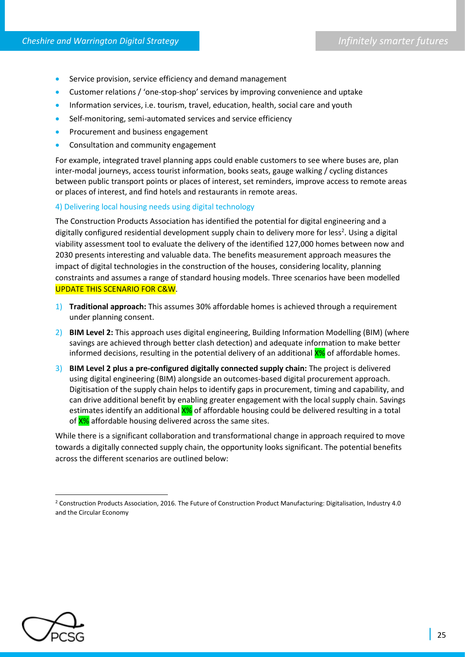- Service provision, service efficiency and demand management
- Customer relations / 'one-stop-shop' services by improving convenience and uptake
- Information services, i.e. tourism, travel, education, health, social care and youth
- Self-monitoring, semi-automated services and service efficiency
- Procurement and business engagement
- Consultation and community engagement

For example, integrated travel planning apps could enable customers to see where buses are, plan inter-modal journeys, access tourist information, books seats, gauge walking / cycling distances between public transport points or places of interest, set reminders, improve access to remote areas or places of interest, and find hotels and restaurants in remote areas.

4) Delivering local housing needs using digital technology

The Construction Products Association has identified the potential for digital engineering and a digitally configured residential development supply chain to delivery more for less<sup>2</sup>. Using a digital viability assessment tool to evaluate the delivery of the identified 127,000 homes between now and 2030 presents interesting and valuable data. The benefits measurement approach measures the impact of digital technologies in the construction of the houses, considering locality, planning constraints and assumes a range of standard housing models. Three scenarios have been modelled UPDATE THIS SCENARIO FOR C&W.

- 1) **Traditional approach:** This assumes 30% affordable homes is achieved through a requirement under planning consent.
- 2) **BIM Level 2:** This approach uses digital engineering, Building Information Modelling (BIM) (where savings are achieved through better clash detection) and adequate information to make better informed decisions, resulting in the potential delivery of an additional X% of affordable homes.
- 3) **BIM Level 2 plus a pre-configured digitally connected supply chain:** The project is delivered using digital engineering (BIM) alongside an outcomes-based digital procurement approach. Digitisation of the supply chain helps to identify gaps in procurement, timing and capability, and can drive additional benefit by enabling greater engagement with the local supply chain. Savings estimates identify an additional  $X$ % of affordable housing could be delivered resulting in a total of X% affordable housing delivered across the same sites.

While there is a significant collaboration and transformational change in approach required to move towards a digitally connected supply chain, the opportunity looks significant. The potential benefits across the different scenarios are outlined below:



 $\overline{\phantom{a}}$ 

<sup>2</sup> Construction Products Association, 2016. The Future of Construction Product Manufacturing: Digitalisation, Industry 4.0 and the Circular Economy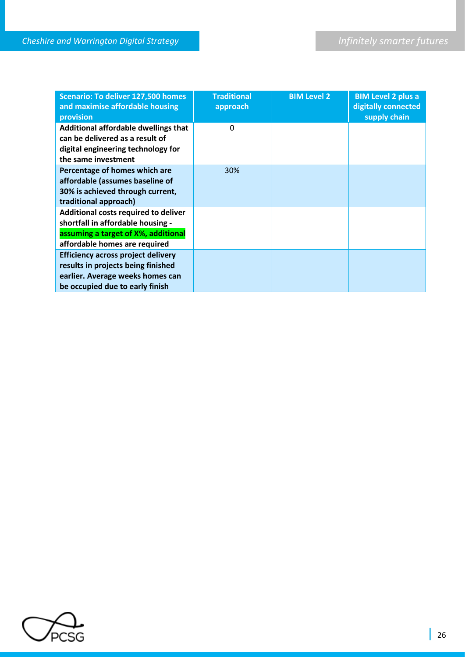| <b>Scenario: To deliver 127,500 homes</b><br>and maximise affordable housing<br>provision                                                              | <b>Traditional</b><br>approach | <b>BIM Level 2</b> | <b>BIM Level 2 plus a</b><br>digitally connected<br>supply chain |
|--------------------------------------------------------------------------------------------------------------------------------------------------------|--------------------------------|--------------------|------------------------------------------------------------------|
| Additional affordable dwellings that<br>can be delivered as a result of<br>digital engineering technology for<br>the same investment                   | 0                              |                    |                                                                  |
| Percentage of homes which are<br>affordable (assumes baseline of<br>30% is achieved through current,<br>traditional approach)                          | 30%                            |                    |                                                                  |
| Additional costs required to deliver<br>shortfall in affordable housing -<br>assuming a target of X%, additional<br>affordable homes are required      |                                |                    |                                                                  |
| <b>Efficiency across project delivery</b><br>results in projects being finished<br>earlier. Average weeks homes can<br>be occupied due to early finish |                                |                    |                                                                  |

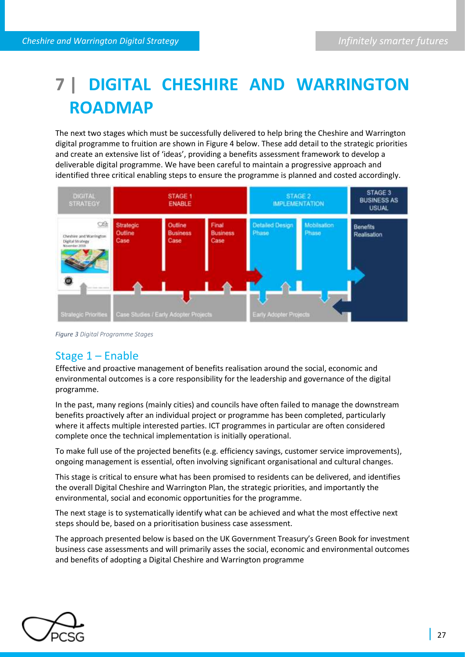# **7 | DIGITAL CHESHIRE AND WARRINGTON ROADMAP**

The next two stages which must be successfully delivered to help bring the Cheshire and Warrington digital programme to fruition are shown in Figure 4 below. These add detail to the strategic priorities and create an extensive list of 'ideas', providing a benefits assessment framework to develop a deliverable digital programme. We have been careful to maintain a progressive approach and identified three critical enabling steps to ensure the programme is planned and costed accordingly.



*Figure 3 Digital Programme Stages*

## Stage 1 – Enable

Effective and proactive management of benefits realisation around the social, economic and environmental outcomes is a core responsibility for the leadership and governance of the digital programme.

In the past, many regions (mainly cities) and councils have often failed to manage the downstream benefits proactively after an individual project or programme has been completed, particularly where it affects multiple interested parties. ICT programmes in particular are often considered complete once the technical implementation is initially operational.

To make full use of the projected benefits (e.g. efficiency savings, customer service improvements), ongoing management is essential, often involving significant organisational and cultural changes.

This stage is critical to ensure what has been promised to residents can be delivered, and identifies the overall Digital Cheshire and Warrington Plan, the strategic priorities, and importantly the environmental, social and economic opportunities for the programme.

The next stage is to systematically identify what can be achieved and what the most effective next steps should be, based on a prioritisation business case assessment.

The approach presented below is based on the UK Government Treasury's Green Book for investment business case assessments and will primarily asses the social, economic and environmental outcomes and benefits of adopting a Digital Cheshire and Warrington programme

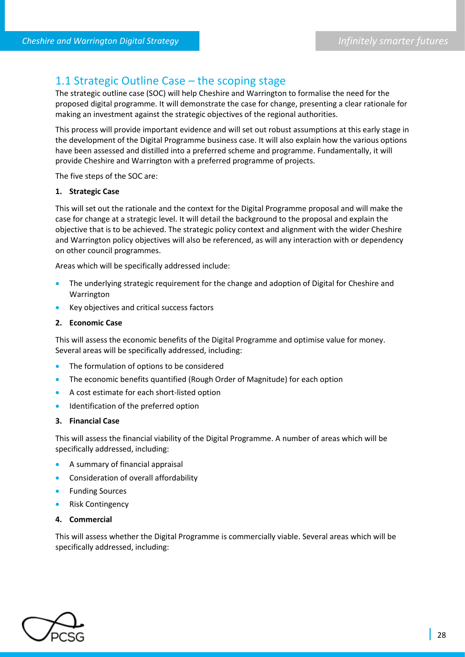## 1.1 Strategic Outline Case – the scoping stage

The strategic outline case (SOC) will help Cheshire and Warrington to formalise the need for the proposed digital programme. It will demonstrate the case for change, presenting a clear rationale for making an investment against the strategic objectives of the regional authorities.

This process will provide important evidence and will set out robust assumptions at this early stage in the development of the Digital Programme business case. It will also explain how the various options have been assessed and distilled into a preferred scheme and programme. Fundamentally, it will provide Cheshire and Warrington with a preferred programme of projects.

The five steps of the SOC are:

#### **1. Strategic Case**

This will set out the rationale and the context for the Digital Programme proposal and will make the case for change at a strategic level. It will detail the background to the proposal and explain the objective that is to be achieved. The strategic policy context and alignment with the wider Cheshire and Warrington policy objectives will also be referenced, as will any interaction with or dependency on other council programmes.

Areas which will be specifically addressed include:

- The underlying strategic requirement for the change and adoption of Digital for Cheshire and Warrington
- Key objectives and critical success factors
- **2. Economic Case**

This will assess the economic benefits of the Digital Programme and optimise value for money. Several areas will be specifically addressed, including:

- The formulation of options to be considered
- The economic benefits quantified (Rough Order of Magnitude) for each option
- A cost estimate for each short-listed option
- Identification of the preferred option

#### **3. Financial Case**

This will assess the financial viability of the Digital Programme. A number of areas which will be specifically addressed, including:

- A summary of financial appraisal
- Consideration of overall affordability
- Funding Sources
- Risk Contingency
- **4. Commercial**

This will assess whether the Digital Programme is commercially viable. Several areas which will be specifically addressed, including:

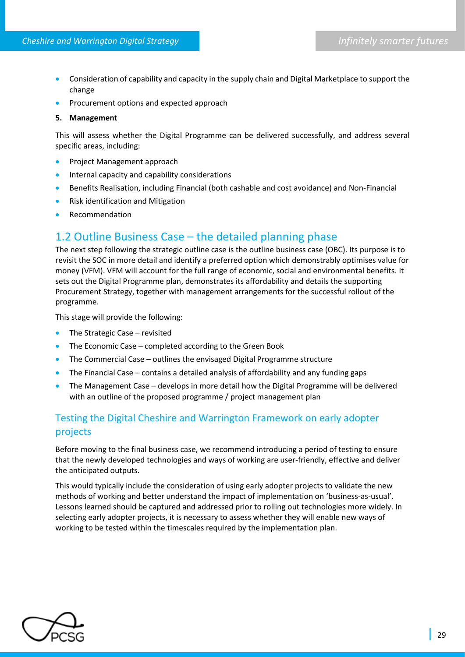- Consideration of capability and capacity in the supply chain and Digital Marketplace to support the change
- Procurement options and expected approach

#### **5. Management**

This will assess whether the Digital Programme can be delivered successfully, and address several specific areas, including:

- Project Management approach
- Internal capacity and capability considerations
- Benefits Realisation, including Financial (both cashable and cost avoidance) and Non-Financial
- Risk identification and Mitigation
- Recommendation

## 1.2 Outline Business Case – the detailed planning phase

The next step following the strategic outline case is the outline business case (OBC). Its purpose is to revisit the SOC in more detail and identify a preferred option which demonstrably optimises value for money (VFM). VFM will account for the full range of economic, social and environmental benefits. It sets out the Digital Programme plan, demonstrates its affordability and details the supporting Procurement Strategy, together with management arrangements for the successful rollout of the programme.

This stage will provide the following:

- The Strategic Case revisited
- The Economic Case completed according to the Green Book
- The Commercial Case outlines the envisaged Digital Programme structure
- The Financial Case contains a detailed analysis of affordability and any funding gaps
- The Management Case develops in more detail how the Digital Programme will be delivered with an outline of the proposed programme / project management plan

## Testing the Digital Cheshire and Warrington Framework on early adopter projects

Before moving to the final business case, we recommend introducing a period of testing to ensure that the newly developed technologies and ways of working are user-friendly, effective and deliver the anticipated outputs.

This would typically include the consideration of using early adopter projects to validate the new methods of working and better understand the impact of implementation on 'business-as-usual'. Lessons learned should be captured and addressed prior to rolling out technologies more widely. In selecting early adopter projects, it is necessary to assess whether they will enable new ways of working to be tested within the timescales required by the implementation plan.

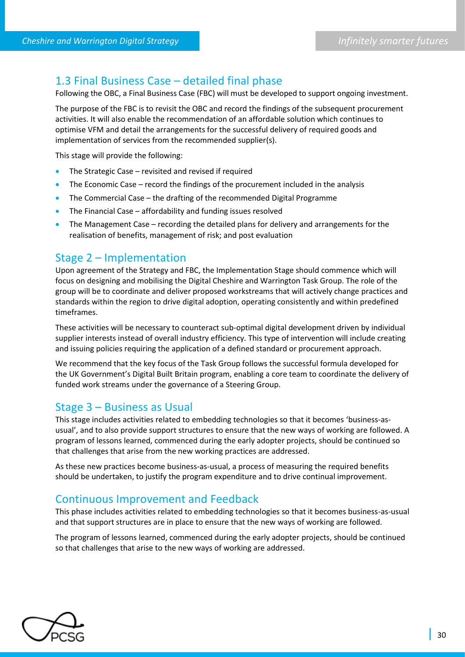## 1.3 Final Business Case – detailed final phase

Following the OBC, a Final Business Case (FBC) will must be developed to support ongoing investment.

The purpose of the FBC is to revisit the OBC and record the findings of the subsequent procurement activities. It will also enable the recommendation of an affordable solution which continues to optimise VFM and detail the arrangements for the successful delivery of required goods and implementation of services from the recommended supplier(s).

This stage will provide the following:

- The Strategic Case revisited and revised if required
- The Economic Case record the findings of the procurement included in the analysis
- The Commercial Case the drafting of the recommended Digital Programme
- The Financial Case affordability and funding issues resolved
- The Management Case recording the detailed plans for delivery and arrangements for the realisation of benefits, management of risk; and post evaluation

### Stage 2 – Implementation

Upon agreement of the Strategy and FBC, the Implementation Stage should commence which will focus on designing and mobilising the Digital Cheshire and Warrington Task Group. The role of the group will be to coordinate and deliver proposed workstreams that will actively change practices and standards within the region to drive digital adoption, operating consistently and within predefined timeframes.

These activities will be necessary to counteract sub-optimal digital development driven by individual supplier interests instead of overall industry efficiency. This type of intervention will include creating and issuing policies requiring the application of a defined standard or procurement approach.

We recommend that the key focus of the Task Group follows the successful formula developed for the UK Government's Digital Built Britain program, enabling a core team to coordinate the delivery of funded work streams under the governance of a Steering Group.

### Stage 3 – Business as Usual

This stage includes activities related to embedding technologies so that it becomes 'business-asusual', and to also provide support structures to ensure that the new ways of working are followed. A program of lessons learned, commenced during the early adopter projects, should be continued so that challenges that arise from the new working practices are addressed.

As these new practices become business-as-usual, a process of measuring the required benefits should be undertaken, to justify the program expenditure and to drive continual improvement.

### Continuous Improvement and Feedback

This phase includes activities related to embedding technologies so that it becomes business-as-usual and that support structures are in place to ensure that the new ways of working are followed.

The program of lessons learned, commenced during the early adopter projects, should be continued so that challenges that arise to the new ways of working are addressed.

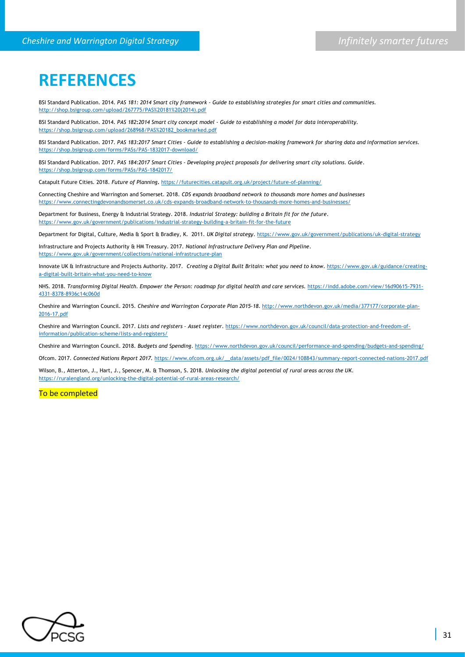## **REFERENCES**

BSI Standard Publication. 2014. *PAS 181: 2014 Smart city framework - Guide to establishing strategies for smart cities and communities.*  [http://shop.bsigroup.com/upload/267775/PAS%20181%20\(2014\).pdf](http://shop.bsigroup.com/upload/267775/PAS%20181%20(2014).pdf)

BSI Standard Publication. 2014. *PAS 182***:***2014 Smart city concept model - Guide to establishing a model for data interoperability.*  [https://shop.bsigroup.com/upload/268968/PAS%20182\\_bookmarked.pdf](https://shop.bsigroup.com/upload/268968/PAS%20182_bookmarked.pdf)

BSI Standard Publication. 2017. *PAS 183:2017 Smart Cities - Guide to establishing a decision-making framework for sharing data and information services.*  <https://shop.bsigroup.com/forms/PASs/PAS-1832017-download/>

BSI Standard Publication. 2017. *PAS 184:2017 Smart Cities - Developing project proposals for delivering smart city solutions. Guide*. <https://shop.bsigroup.com/forms/PASs/PAS-1842017/>

Catapult Future Cities. 2018. *Future of Planning***.** <https://futurecities.catapult.org.uk/project/future-of-planning/>

Connecting Cheshire and Warrington and Somerset. 2018. *CDS expands broadband network to thousands more homes and businesses* <https://www.connectingdevonandsomerset.co.uk/cds-expands-broadband-network-to-thousands-more-homes-and-businesses/>

Department for Business, Energy & Industrial Strategy. 2018*. Industrial Strategy: building a Britain fit for the future*. <https://www.gov.uk/government/publications/industrial-strategy-building-a-britain-fit-for-the-future>

Department for Digital, Culture, Media & Sport & Bradley, K. 2011. *UK Digital strategy*[. https://www.gov.uk/government/publications/uk-digital-strategy](https://www.gov.uk/government/publications/uk-digital-strategy)

Infrastructure and Projects Authority & HM Treasury. 2017. *National Infrastructure Delivery Plan and Pipeline*. <https://www.gov.uk/government/collections/national-infrastructure-plan>

Innovate UK & Infrastructure and Projects Authority. 2017. *Creating a Digital Built Britain: what you need to know*[. https://www.gov.uk/guidance/creating](https://www.gov.uk/guidance/creating-a-digital-built-britain-what-you-need-to-know)[a-digital-built-britain-what-you-need-to-know](https://www.gov.uk/guidance/creating-a-digital-built-britain-what-you-need-to-know)

NHS. 2018. *Transforming Digital Health. Empower the Person: roadmap for digital health and care services.* [https://indd.adobe.com/view/16d90615-7931-](https://indd.adobe.com/view/16d90615-7931-4331-8378-8936c14c060d) [4331-8378-8936c14c060d](https://indd.adobe.com/view/16d90615-7931-4331-8378-8936c14c060d)

Cheshire and Warrington Council. 2015. *Cheshire and Warrington Corporate Plan 2015-18*. [http://www.northdevon.gov.uk/media/377177/corporate-plan-](http://www.northdevon.gov.uk/media/377177/corporate-plan-2016-17.pdf)[2016-17.pdf](http://www.northdevon.gov.uk/media/377177/corporate-plan-2016-17.pdf) 

Cheshire and Warrington Council. 2017. *Lists and registers – Asset register*. [https://www.northdevon.gov.uk/council/data-protection-and-freedom-of](https://www.northdevon.gov.uk/council/data-protection-and-freedom-of-information/publication-scheme/lists-and-registers/)[information/publication-scheme/lists-and-registers/](https://www.northdevon.gov.uk/council/data-protection-and-freedom-of-information/publication-scheme/lists-and-registers/)

Cheshire and Warrington Council. 2018. *Budgets and Spending*[. https://www.northdevon.gov.uk/council/performance-and-spending/budgets-and-spending/](https://www.northdevon.gov.uk/council/performance-and-spending/budgets-and-spending/)

Ofcom. 2017. *Connected Nations Report 2017.* [https://www.ofcom.org.uk/\\_\\_data/assets/pdf\\_file/0024/108843/summary-report-connected-nations-2017.pdf](https://www.ofcom.org.uk/__data/assets/pdf_file/0024/108843/summary-report-connected-nations-2017.pdf)

Wilson, B., Atterton, J., Hart, J., Spencer, M. & Thomson, S. 2018. *Unlocking the digital potential of rural areas across the UK*. <https://ruralengland.org/unlocking-the-digital-potential-of-rural-areas-research/>

#### To be completed